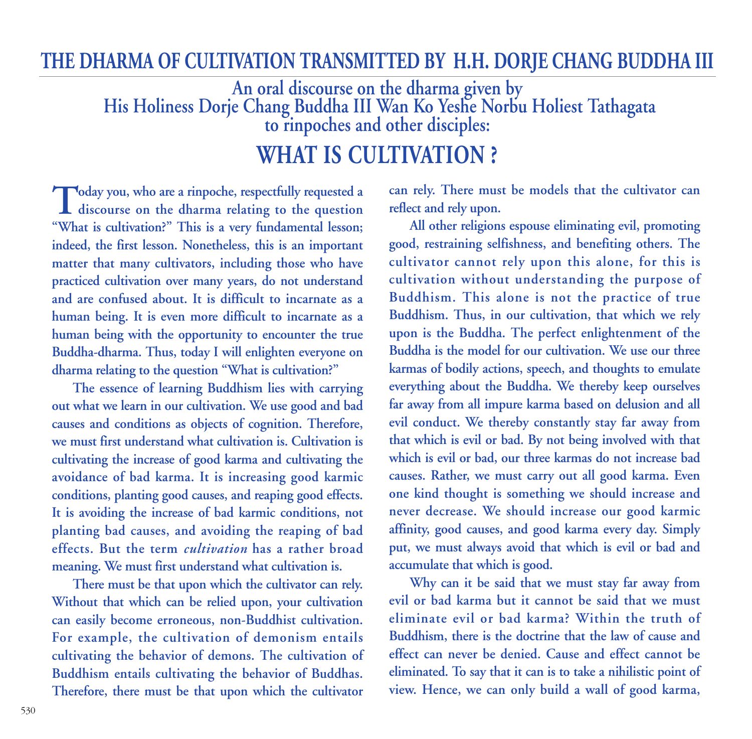## **THE DHARMA OF CULTIVATION TRANSMITTED BY H.H. DORJE CHANG BUDDHA III**

**An oral discourse on the dharma given by His Holiness Dorje Chang Buddha III Wan Ko Yeshe Norbu Holiest Tathagata to rinpoches and other disciples:**

## **WHAT IS CULTIVATION ?**

**Today you, who are a rinpoche, respectfully requested a discourse on the dharma relating to the question "What is cultivation?" This is a very fundamental lesson; indeed, the first lesson. Nonetheless, this is an important matter that many cultivators, including those who have practiced cultivation over many years, do not understand and are confused about. It is difficult to incarnate as a human being. It is even more difficult to incarnate as a human being with the opportunity to encounter the true Buddha-dharma. Thus, today I will enlighten everyone on dharma relating to the question "What is cultivation?"** 

**The essence of learning Buddhism lies with carrying out what we learn in our cultivation. We use good and bad causes and conditions as objects of cognition. Therefore, we must first understand what cultivation is. Cultivation is cultivating the increase of good karma and cultivating the avoidance of bad karma. It is increasing good karmic conditions, planting good causes, and reaping good effects. It is avoiding the increase of bad karmic conditions, not planting bad causes, and avoiding the reaping of bad effects. But the term** *cultivation* **has a rather broad meaning. We must first understand what cultivation is.**

**There must be that upon which the cultivator can rely. Without that which can be relied upon, your cultivation can easily become erroneous, non-Buddhist cultivation. For example, the cultivation of demonism entails cultivating the behavior of demons. The cultivation of Buddhism entails cultivating the behavior of Buddhas. Therefore, there must be that upon which the cultivator** **can rely. There must be models that the cultivator can reflect and rely upon.** 

**All other religions espouse eliminating evil, promoting good, restraining selfishness, and benefiting others. The cultivator cannot rely upon this alone, for this is cultivation without understanding the purpose of Buddhism. This alone is not the practice of true Buddhism. Thus, in our cultivation, that which we rely upon is the Buddha. The perfect enlightenment of the Buddha is the model for our cultivation. We use our three karmas of bodily actions, speech, and thoughts to emulate everything about the Buddha. We thereby keep ourselves far away from all impure karma based on delusion and all evil conduct. We thereby constantly stay far away from that which is evil or bad. By not being involved with that which is evil or bad, our three karmas do not increase bad causes. Rather, we must carry out all good karma. Even one kind thought is something we should increase and never decrease. We should increase our good karmic affinity, good causes, and good karma every day. Simply put, we must always avoid that which is evil or bad and accumulate that which is good.**

**Why can it be said that we must stay far away from evil or bad karma but it cannot be said that we must eliminate evil or bad karma? Within the truth of Buddhism, there is the doctrine that the law of cause and effect can never be denied. Cause and effect cannot be eliminated. To say that it can is to take a nihilistic point of view. Hence, we can only build a wall of good karma,**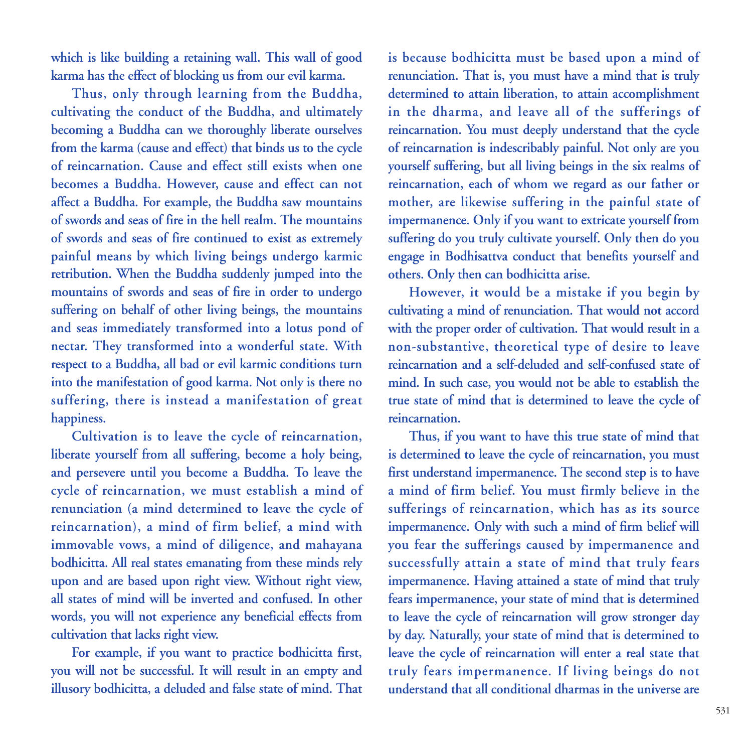**which is like building a retaining wall. This wall of good karma has the effect of blocking us from our evil karma.** 

**Thus, only through learning from the Buddha, cultivating the conduct of the Buddha, and ultimately becoming a Buddha can we thoroughly liberate ourselves from the karma (cause and effect) that binds us to the cycle of reincarnation. Cause and effect still exists when one becomes a Buddha. However, cause and effect can not affect a Buddha. For example, the Buddha saw mountains of swords and seas of fire in the hell realm. The mountains of swords and seas of fire continued to exist as extremely painful means by which living beings undergo karmic retribution. When the Buddha suddenly jumped into the mountains of swords and seas of fire in order to undergo suffering on behalf of other living beings, the mountains and seas immediately transformed into a lotus pond of nectar. They transformed into a wonderful state. With respect to a Buddha, all bad or evil karmic conditions turn into the manifestation of good karma. Not only is there no suffering, there is instead a manifestation of great happiness.**

**Cultivation is to leave the cycle of reincarnation, liberate yourself from all suffering, become a holy being, and persevere until you become a Buddha. To leave the cycle of reincarnation, we must establish a mind of renunciation (a mind determined to leave the cycle of reincarnation), a mind of firm belief, a mind with immovable vows, a mind of diligence, and mahayana bodhicitta. All real states emanating from these minds rely upon and are based upon right view. Without right view, all states of mind will be inverted and confused. In other words, you will not experience any beneficial effects from cultivation that lacks right view.** 

**For example, if you want to practice bodhicitta first, you will not be successful. It will result in an empty and illusory bodhicitta, a deluded and false state of mind. That**

**is because bodhicitta must be based upon a mind of renunciation. That is, you must have a mind that is truly determined to attain liberation, to attain accomplishment in the dharma, and leave all of the sufferings of reincarnation. You must deeply understand that the cycle of reincarnation is indescribably painful. Not only are you yourself suffering, but all living beings in the six realms of reincarnation, each of whom we regard as our father or mother, are likewise suffering in the painful state of impermanence. Only if you want to extricate yourself from suffering do you truly cultivate yourself. Only then do you engage in Bodhisattva conduct that benefits yourself and others. Only then can bodhicitta arise.** 

**However, it would be a mistake if you begin by cultivating a mind of renunciation. That would not accord with the proper order of cultivation. That would result in a non-substantive, theoretical type of desire to leave reincarnation and a self-deluded and self-confused state of mind. In such case, you would not be able to establish the true state of mind that is determined to leave the cycle of reincarnation.** 

**Thus, if you want to have this true state of mind that is determined to leave the cycle of reincarnation, you must first understand impermanence. The second step is to have a mind of firm belief. You must firmly believe in the sufferings of reincarnation, which has as its source impermanence. Only with such a mind of firm belief will you fear the sufferings caused by impermanence and successfully attain a state of mind that truly fears impermanence. Having attained a state of mind that truly fears impermanence, your state of mind that is determined to leave the cycle of reincarnation will grow stronger day by day. Naturally, your state of mind that is determined to leave the cycle of reincarnation will enter a real state that truly fears impermanence. If living beings do not understand that all conditional dharmas in the universe are**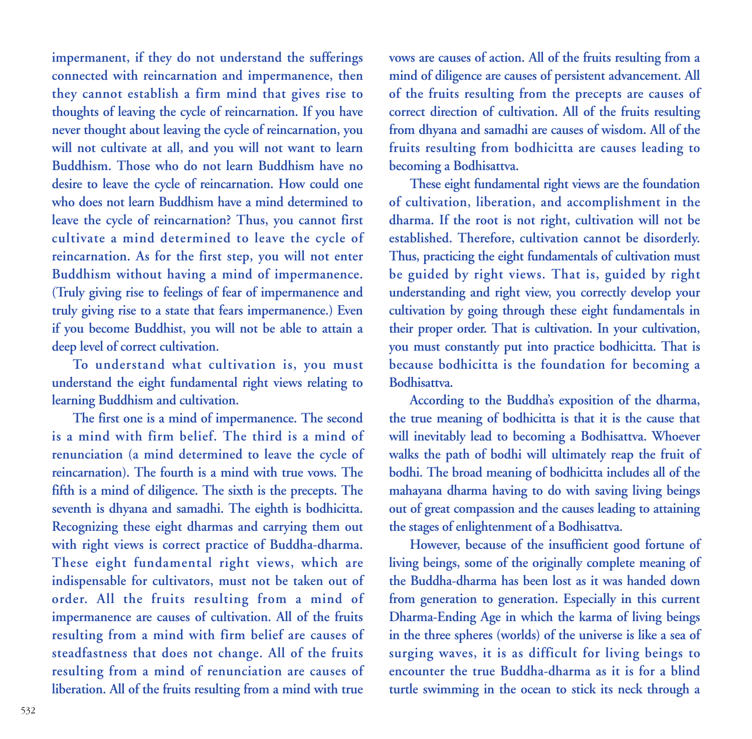**impermanent, if they do not understand the sufferings connected with reincarnation and impermanence, then they cannot establish a firm mind that gives rise to thoughts of leaving the cycle of reincarnation. If you have never thought about leaving the cycle of reincarnation, you will not cultivate at all, and you will not want to learn Buddhism. Those who do not learn Buddhism have no desire to leave the cycle of reincarnation. How could one who does not learn Buddhism have a mind determined to leave the cycle of reincarnation? Thus, you cannot first cultivate a mind determined to leave the cycle of reincarnation. As for the first step, you will not enter Buddhism without having a mind of impermanence. (Truly giving rise to feelings of fear of impermanence and truly giving rise to a state that fears impermanence.) Even if you become Buddhist, you will not be able to attain a deep level of correct cultivation.**

**To understand what cultivation is, you must understand the eight fundamental right views relating to learning Buddhism and cultivation.** 

**The first one is a mind of impermanence. The second is a mind with firm belief. The third is a mind of renunciation (a mind determined to leave the cycle of reincarnation). The fourth is a mind with true vows. The fifth is a mind of diligence. The sixth is the precepts. The seventh is dhyana and samadhi. The eighth is bodhicitta. Recognizing these eight dharmas and carrying them out with right views is correct practice of Buddha-dharma. These eight fundamental right views, which are indispensable for cultivators, must not be taken out of order. All the fruits resulting from a mind of impermanence are causes of cultivation. All of the fruits resulting from a mind with firm belief are causes of steadfastness that does not change. All of the fruits resulting from a mind of renunciation are causes of liberation. All of the fruits resulting from a mind with true**

**vows are causes of action. All of the fruits resulting from a mind of diligence are causes of persistent advancement. All of the fruits resulting from the precepts are causes of correct direction of cultivation. All of the fruits resulting from dhyana and samadhi are causes of wisdom. All of the fruits resulting from bodhicitta are causes leading to becoming a Bodhisattva.** 

**These eight fundamental right views are the foundation of cultivation, liberation, and accomplishment in the dharma. If the root is not right, cultivation will not be established. Therefore, cultivation cannot be disorderly. Thus, practicing the eight fundamentals of cultivation must be guided by right views. That is, guided by right understanding and right view, you correctly develop your cultivation by going through these eight fundamentals in their proper order. That is cultivation. In your cultivation, you must constantly put into practice bodhicitta. That is because bodhicitta is the foundation for becoming a Bodhisattva.**

**According to the Buddha's exposition of the dharma, the true meaning of bodhicitta is that it is the cause that will inevitably lead to becoming a Bodhisattva. Whoever walks the path of bodhi will ultimately reap the fruit of bodhi. The broad meaning of bodhicitta includes all of the mahayana dharma having to do with saving living beings out of great compassion and the causes leading to attaining the stages of enlightenment of a Bodhisattva.** 

**However, because of the insufficient good fortune of living beings, some of the originally complete meaning of the Buddha-dharma has been lost as it was handed down from generation to generation. Especially in this current Dharma-Ending Age in which the karma of living beings in the three spheres (worlds) of the universe is like a sea of surging waves, it is as difficult for living beings to encounter the true Buddha-dharma as it is for a blind turtle swimming in the ocean to stick its neck through a**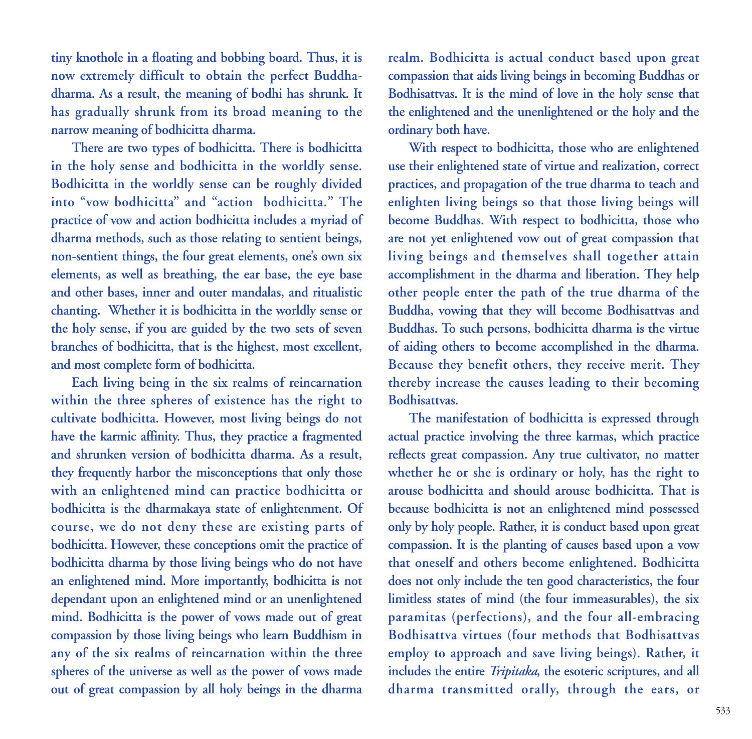**tiny knothole in a floating and bobbing board. Thus, it is now extremely difficult to obtain the perfect Buddhadharma. As a result, the meaning of bodhi has shrunk. It has gradually shrunk from its broad meaning to the narrow meaning of bodhicitta dharma.** 

**There are two types of bodhicitta. There is bodhicitta in the holy sense and bodhicitta in the worldly sense. Bodhicitta in the worldly sense can be roughly divided into "vow bodhicitta" and "action bodhicitta." The practice of vow and action bodhicitta includes a myriad of dharma methods, such as those relating to sentient beings, non-sentient things, the four great elements, one's own six elements, as well as breathing, the ear base, the eye base and other bases, inner and outer mandalas, and ritualistic chanting. Whether it is bodhicitta in the worldly sense or the holy sense, if you are guided by the two sets of seven branches of bodhicitta, that is the highest, most excellent, and most complete form of bodhicitta.** 

**Each living being in the six realms of reincarnation within the three spheres of existence has the right to cultivate bodhicitta. However, most living beings do not have the karmic affinity. Thus, they practice a fragmented and shrunken version of bodhicitta dharma. As a result, they frequently harbor the misconceptions that only those with an enlightened mind can practice bodhicitta or bodhicitta is the dharmakaya state of enlightenment. Of course, we do not deny these are existing parts of bodhicitta. However, these conceptions omit the practice of bodhicitta dharma by those living beings who do not have an enlightened mind. More importantly, bodhicitta is not dependant upon an enlightened mind or an unenlightened mind. Bodhicitta is the power of vows made out of great compassion by those living beings who learn Buddhism in any of the six realms of reincarnation within the three spheres of the universe as well as the power of vows made out of great compassion by all holy beings in the dharma**

**realm. Bodhicitta is actual conduct based upon great compassion that aids living beings in becoming Buddhas or Bodhisattvas. It is the mind of love in the holy sense that the enlightened and the unenlightened or the holy and the ordinary both have.** 

**With respect to bodhicitta, those who are enlightened use their enlightened state of virtue and realization, correct practices, and propagation of the true dharma to teach and enlighten living beings so that those living beings will become Buddhas. With respect to bodhicitta, those who are not yet enlightened vow out of great compassion that living beings and themselves shall together attain accomplishment in the dharma and liberation. They help other people enter the path of the true dharma of the Buddha, vowing that they will become Bodhisattvas and Buddhas. To such persons, bodhicitta dharma is the virtue of aiding others to become accomplished in the dharma. Because they benefit others, they receive merit. They thereby increase the causes leading to their becoming Bodhisattvas.** 

**The manifestation of bodhicitta is expressed through actual practice involving the three karmas, which practice reflects great compassion. Any true cultivator, no matter whether he or she is ordinary or holy, has the right to arouse bodhicitta and should arouse bodhicitta. That is because bodhicitta is not an enlightened mind possessed only by holy people. Rather, it is conduct based upon great compassion. It is the planting of causes based upon a vow that oneself and others become enlightened. Bodhicitta does not only include the ten good characteristics, the four limitless states of mind (the four immeasurables), the six paramitas (perfections), and the four all-embracing Bodhisattva virtues (four methods that Bodhisattvas employ to approach and save living beings). Rather, it includes the entire** *Tripitaka***, the esoteric scriptures, and all dharma transmitted orally, through the ears, or**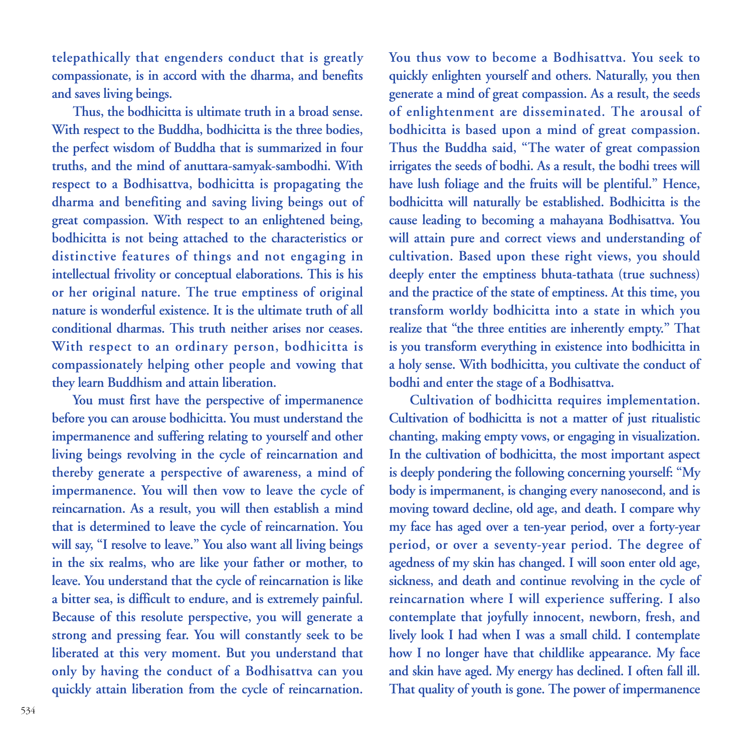**telepathically that engenders conduct that is greatly compassionate, is in accord with the dharma, and benefits and saves living beings.** 

**Thus, the bodhicitta is ultimate truth in a broad sense. With respect to the Buddha, bodhicitta is the three bodies, the perfect wisdom of Buddha that is summarized in four truths, and the mind of anuttara-samyak-sambodhi. With respect to a Bodhisattva, bodhicitta is propagating the dharma and benefiting and saving living beings out of great compassion. With respect to an enlightened being, bodhicitta is not being attached to the characteristics or distinctive features of things and not engaging in intellectual frivolity or conceptual elaborations. This is his or her original nature. The true emptiness of original nature is wonderful existence. It is the ultimate truth of all conditional dharmas. This truth neither arises nor ceases. With respect to an ordinary person, bodhicitta is compassionately helping other people and vowing that they learn Buddhism and attain liberation.**

**You must first have the perspective of impermanence before you can arouse bodhicitta. You must understand the impermanence and suffering relating to yourself and other living beings revolving in the cycle of reincarnation and thereby generate a perspective of awareness, a mind of impermanence. You will then vow to leave the cycle of reincarnation. As a result, you will then establish a mind that is determined to leave the cycle of reincarnation. You will say, "I resolve to leave." You also want all living beings in the six realms, who are like your father or mother, to leave. You understand that the cycle of reincarnation is like a bitter sea, is difficult to endure, and is extremely painful. Because of this resolute perspective, you will generate a strong and pressing fear. You will constantly seek to be liberated at this very moment. But you understand that only by having the conduct of a Bodhisattva can you quickly attain liberation from the cycle of reincarnation.**

**You thus vow to become a Bodhisattva. You seek to quickly enlighten yourself and others. Naturally, you then generate a mind of great compassion. As a result, the seeds of enlightenment are disseminated. The arousal of bodhicitta is based upon a mind of great compassion. Thus the Buddha said, "The water of great compassion irrigates the seeds of bodhi. As a result, the bodhi trees will have lush foliage and the fruits will be plentiful." Hence, bodhicitta will naturally be established. Bodhicitta is the cause leading to becoming a mahayana Bodhisattva. You will attain pure and correct views and understanding of cultivation. Based upon these right views, you should deeply enter the emptiness bhuta-tathata (true suchness) and the practice of the state of emptiness. At this time, you transform worldy bodhicitta into a state in which you realize that "the three entities are inherently empty." That is you transform everything in existence into bodhicitta in a holy sense. With bodhicitta, you cultivate the conduct of bodhi and enter the stage of a Bodhisattva.**

**Cultivation of bodhicitta requires implementation. Cultivation of bodhicitta is not a matter of just ritualistic chanting, making empty vows, or engaging in visualization. In the cultivation of bodhicitta, the most important aspect is deeply pondering the following concerning yourself: "My body is impermanent, is changing every nanosecond, and is moving toward decline, old age, and death. I compare why my face has aged over a ten-year period, over a forty-year period, or over a seventy-year period. The degree of agedness of my skin has changed. I will soon enter old age, sickness, and death and continue revolving in the cycle of reincarnation where I will experience suffering. I also contemplate that joyfully innocent, newborn, fresh, and lively look I had when I was a small child. I contemplate how I no longer have that childlike appearance. My face and skin have aged. My energy has declined. I often fall ill. That quality of youth is gone. The power of impermanence**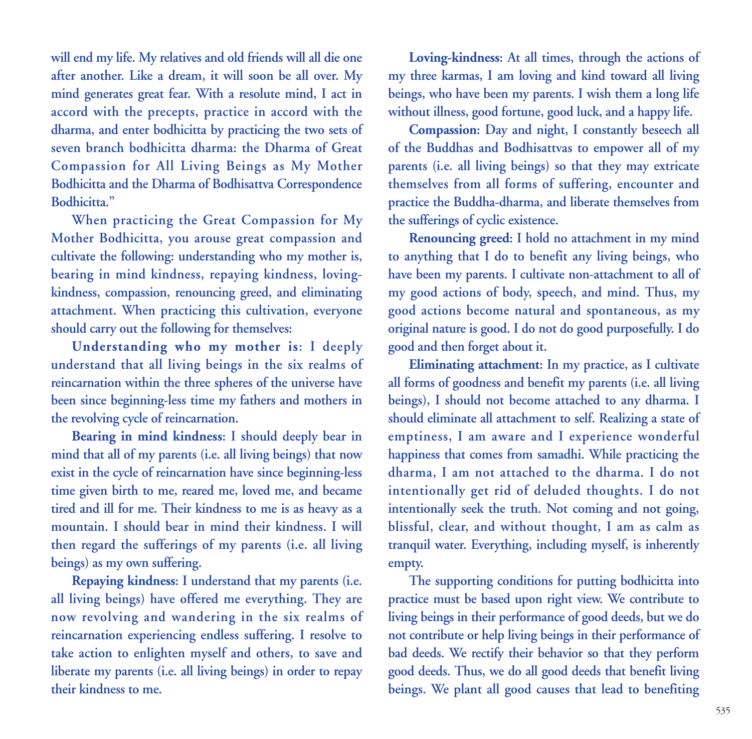**will end my life. My relatives and old friends will all die one after another. Like a dream, it will soon be all over. My mind generates great fear. With a resolute mind, I act in accord with the precepts, practice in accord with the dharma, and enter bodhicitta by practicing the two sets of seven branch bodhicitta dharma: the Dharma of Great Compassion for All Living Beings as My Mother Bodhicitta and the Dharma of Bodhisattva Correspondence Bodhicitta."** 

**When practicing the Great Compassion for My Mother Bodhicitta, you arouse great compassion and cultivate the following: understanding who my mother is, bearing in mind kindness, repaying kindness, lovingkindness, compassion, renouncing greed, and eliminating attachment. When practicing this cultivation, everyone should carry out the following for themselves:** 

**Understanding who my mother is: I deeply understand that all living beings in the six realms of reincarnation within the three spheres of the universe have been since beginning-less time my fathers and mothers in the revolving cycle of reincarnation.** 

**Bearing in mind kindness: I should deeply bear in mind that all of my parents (i.e. all living beings) that now exist in the cycle of reincarnation have since beginning-less time given birth to me, reared me, loved me, and became tired and ill for me. Their kindness to me is as heavy as a mountain. I should bear in mind their kindness. I will then regard the sufferings of my parents (i.e. all living beings) as my own suffering.** 

**Repaying kindness: I understand that my parents (i.e. all living beings) have offered me everything. They are now revolving and wandering in the six realms of reincarnation experiencing endless suffering. I resolve to take action to enlighten myself and others, to save and liberate my parents (i.e. all living beings) in order to repay their kindness to me.** 

**Loving-kindness: At all times, through the actions of my three karmas, I am loving and kind toward all living beings, who have been my parents. I wish them a long life without illness, good fortune, good luck, and a happy life.**

**Compassion: Day and night, I constantly beseech all of the Buddhas and Bodhisattvas to empower all of my parents (i.e. all living beings) so that they may extricate themselves from all forms of suffering, encounter and practice the Buddha-dharma, and liberate themselves from the sufferings of cyclic existence.** 

**Renouncing greed: I hold no attachment in my mind to anything that I do to benefit any living beings, who have been my parents. I cultivate non-attachment to all of my good actions of body, speech, and mind. Thus, my good actions become natural and spontaneous, as my original nature is good. I do not do good purposefully. I do good and then forget about it.** 

**Eliminating attachment: In my practice, as I cultivate all forms of goodness and benefit my parents (i.e. all living beings), I should not become attached to any dharma. I should eliminate all attachment to self. Realizing a state of emptiness, I am aware and I experience wonderful happiness that comes from samadhi. While practicing the dharma, I am not attached to the dharma. I do not intentionally get rid of deluded thoughts. I do not intentionally seek the truth. Not coming and not going, blissful, clear, and without thought, I am as calm as tranquil water. Everything, including myself, is inherently empty.**

**The supporting conditions for putting bodhicitta into practice must be based upon right view. We contribute to living beings in their performance of good deeds, but we do not contribute or help living beings in their performance of bad deeds. We rectify their behavior so that they perform good deeds. Thus, we do all good deeds that benefit living beings. We plant all good causes that lead to benefiting**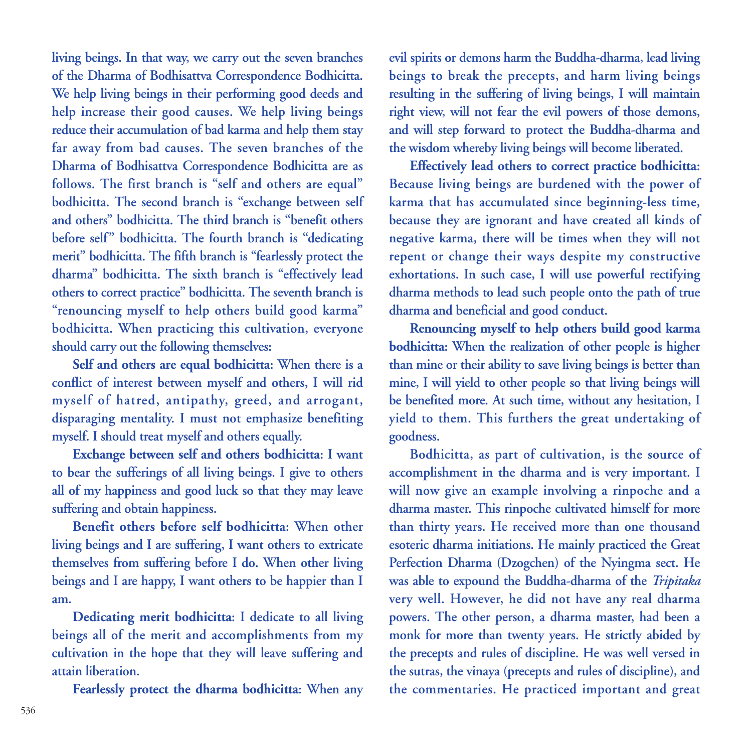**living beings. In that way, we carry out the seven branches of the Dharma of Bodhisattva Correspondence Bodhicitta. We help living beings in their performing good deeds and help increase their good causes. We help living beings reduce their accumulation of bad karma and help them stay far away from bad causes. The seven branches of the Dharma of Bodhisattva Correspondence Bodhicitta are as follows. The first branch is "self and others are equal" bodhicitta. The second branch is "exchange between self and others" bodhicitta. The third branch is "benefit others before self" bodhicitta. The fourth branch is "dedicating merit" bodhicitta. The fifth branch is "fearlessly protect the dharma" bodhicitta. The sixth branch is "effectively lead others to correct practice" bodhicitta. The seventh branch is "renouncing myself to help others build good karma" bodhicitta. When practicing this cultivation, everyone should carry out the following themselves:**

**Self and others are equal bodhicitta: When there is a conflict of interest between myself and others, I will rid myself of hatred, antipathy, greed, and arrogant, disparaging mentality. I must not emphasize benefiting myself. I should treat myself and others equally.**

**Exchange between self and others bodhicitta: I want to bear the sufferings of all living beings. I give to others all of my happiness and good luck so that they may leave suffering and obtain happiness.**

**Benefit others before self bodhicitta: When other living beings and I are suffering, I want others to extricate themselves from suffering before I do. When other living beings and I are happy, I want others to be happier than I am.**

**Dedicating merit bodhicitta: I dedicate to all living beings all of the merit and accomplishments from my cultivation in the hope that they will leave suffering and attain liberation.**

**Fearlessly protect the dharma bodhicitta: When any**

**evil spirits or demons harm the Buddha-dharma, lead living beings to break the precepts, and harm living beings resulting in the suffering of living beings, I will maintain right view, will not fear the evil powers of those demons, and will step forward to protect the Buddha-dharma and the wisdom whereby living beings will become liberated.**

**Effectively lead others to correct practice bodhicitta: Because living beings are burdened with the power of karma that has accumulated since beginning-less time, because they are ignorant and have created all kinds of negative karma, there will be times when they will not repent or change their ways despite my constructive exhortations. In such case, I will use powerful rectifying dharma methods to lead such people onto the path of true dharma and beneficial and good conduct.**

**Renouncing myself to help others build good karma bodhicitta: When the realization of other people is higher than mine or their ability to save living beings is better than mine, I will yield to other people so that living beings will be benefited more. At such time, without any hesitation, I yield to them. This furthers the great undertaking of goodness.** 

**Bodhicitta, as part of cultivation, is the source of accomplishment in the dharma and is very important. I will now give an example involving a rinpoche and a dharma master. This rinpoche cultivated himself for more than thirty years. He received more than one thousand esoteric dharma initiations. He mainly practiced the Great Perfection Dharma (Dzogchen) of the Nyingma sect. He was able to expound the Buddha-dharma of the** *Tripitaka* **very well. However, he did not have any real dharma powers. The other person, a dharma master, had been a monk for more than twenty years. He strictly abided by the precepts and rules of discipline. He was well versed in the sutras, the vinaya (precepts and rules of discipline), and the commentaries. He practiced important and great**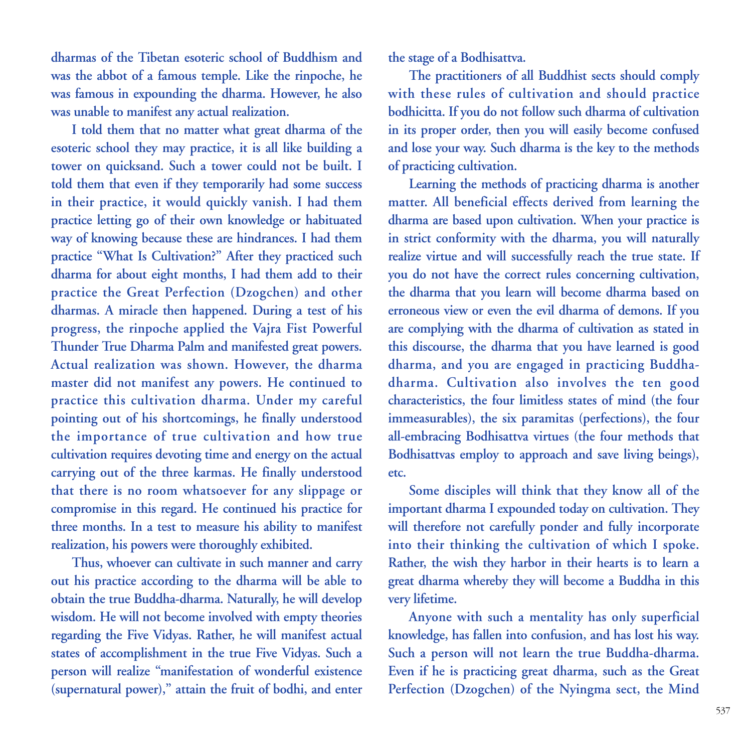**dharmas of the Tibetan esoteric school of Buddhism and was the abbot of a famous temple. Like the rinpoche, he was famous in expounding the dharma. However, he also was unable to manifest any actual realization.**

**I told them that no matter what great dharma of the esoteric school they may practice, it is all like building a tower on quicksand. Such a tower could not be built. I told them that even if they temporarily had some success in their practice, it would quickly vanish. I had them practice letting go of their own knowledge or habituated way of knowing because these are hindrances. I had them practice "What Is Cultivation?" After they practiced such dharma for about eight months, I had them add to their practice the Great Perfection (Dzogchen) and other dharmas. A miracle then happened. During a test of his progress, the rinpoche applied the Vajra Fist Powerful Thunder True Dharma Palm and manifested great powers. Actual realization was shown. However, the dharma master did not manifest any powers. He continued to practice this cultivation dharma. Under my careful pointing out of his shortcomings, he finally understood the importance of true cultivation and how true cultivation requires devoting time and energy on the actual carrying out of the three karmas. He finally understood that there is no room whatsoever for any slippage or compromise in this regard. He continued his practice for three months. In a test to measure his ability to manifest realization, his powers were thoroughly exhibited.** 

**Thus, whoever can cultivate in such manner and carry out his practice according to the dharma will be able to obtain the true Buddha-dharma. Naturally, he will develop wisdom. He will not become involved with empty theories regarding the Five Vidyas. Rather, he will manifest actual states of accomplishment in the true Five Vidyas. Such a person will realize "manifestation of wonderful existence (supernatural power)," attain the fruit of bodhi, and enter** **the stage of a Bodhisattva.** 

**The practitioners of all Buddhist sects should comply with these rules of cultivation and should practice bodhicitta. If you do not follow such dharma of cultivation in its proper order, then you will easily become confused and lose your way. Such dharma is the key to the methods of practicing cultivation.** 

**Learning the methods of practicing dharma is another matter. All beneficial effects derived from learning the dharma are based upon cultivation. When your practice is in strict conformity with the dharma, you will naturally realize virtue and will successfully reach the true state. If you do not have the correct rules concerning cultivation, the dharma that you learn will become dharma based on erroneous view or even the evil dharma of demons. If you are complying with the dharma of cultivation as stated in this discourse, the dharma that you have learned is good dharma, and you are engaged in practicing Buddhadharma. Cultivation also involves the ten good characteristics, the four limitless states of mind (the four immeasurables), the six paramitas (perfections), the four all-embracing Bodhisattva virtues (the four methods that Bodhisattvas employ to approach and save living beings), etc.** 

**Some disciples will think that they know all of the important dharma I expounded today on cultivation. They will therefore not carefully ponder and fully incorporate into their thinking the cultivation of which I spoke. Rather, the wish they harbor in their hearts is to learn a great dharma whereby they will become a Buddha in this very lifetime.** 

**Anyone with such a mentality has only superficial knowledge, has fallen into confusion, and has lost his way. Such a person will not learn the true Buddha-dharma. Even if he is practicing great dharma, such as the Great Perfection (Dzogchen) of the Nyingma sect, the Mind**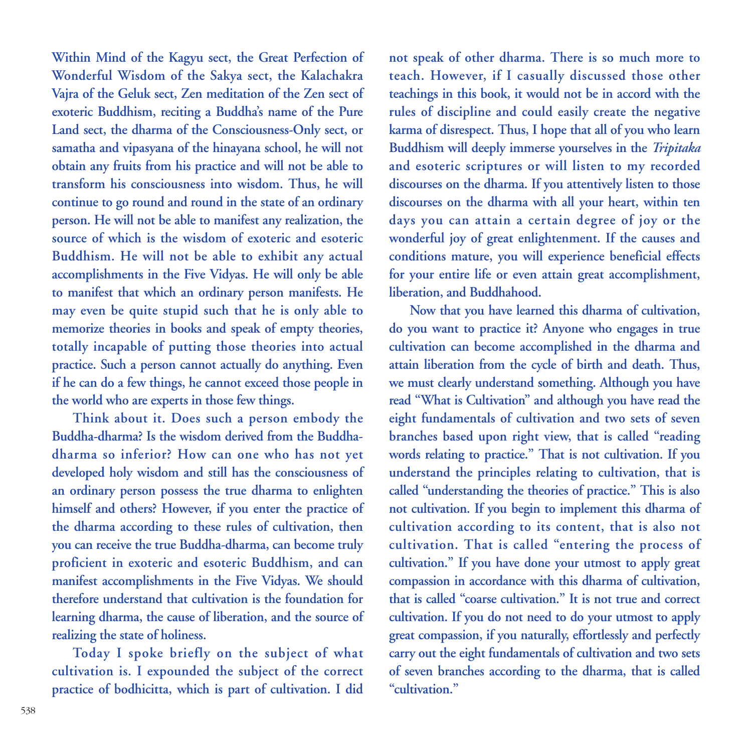**Within Mind of the Kagyu sect, the Great Perfection of Wonderful Wisdom of the Sakya sect, the Kalachakra Vajra of the Geluk sect, Zen meditation of the Zen sect of exoteric Buddhism, reciting a Buddha's name of the Pure Land sect, the dharma of the Consciousness-Only sect, or samatha and vipasyana of the hinayana school, he will not obtain any fruits from his practice and will not be able to transform his consciousness into wisdom. Thus, he will continue to go round and round in the state of an ordinary person. He will not be able to manifest any realization, the source of which is the wisdom of exoteric and esoteric Buddhism. He will not be able to exhibit any actual accomplishments in the Five Vidyas. He will only be able to manifest that which an ordinary person manifests. He may even be quite stupid such that he is only able to memorize theories in books and speak of empty theories, totally incapable of putting those theories into actual practice. Such a person cannot actually do anything. Even if he can do a few things, he cannot exceed those people in the world who are experts in those few things.** 

**Think about it. Does such a person embody the Buddha-dharma? Is the wisdom derived from the Buddhadharma so inferior? How can one who has not yet developed holy wisdom and still has the consciousness of an ordinary person possess the true dharma to enlighten himself and others? However, if you enter the practice of the dharma according to these rules of cultivation, then you can receive the true Buddha-dharma, can become truly proficient in exoteric and esoteric Buddhism, and can manifest accomplishments in the Five Vidyas. We should therefore understand that cultivation is the foundation for learning dharma, the cause of liberation, and the source of realizing the state of holiness.** 

**Today I spoke briefly on the subject of what cultivation is. I expounded the subject of the correct practice of bodhicitta, which is part of cultivation. I did**

**not speak of other dharma. There is so much more to teach. However, if I casually discussed those other teachings in this book, it would not be in accord with the rules of discipline and could easily create the negative karma of disrespect. Thus, I hope that all of you who learn Buddhism will deeply immerse yourselves in the** *Tripitaka* **and esoteric scriptures or will listen to my recorded discourses on the dharma. If you attentively listen to those discourses on the dharma with all your heart, within ten days you can attain a certain degree of joy or the wonderful joy of great enlightenment. If the causes and conditions mature, you will experience beneficial effects for your entire life or even attain great accomplishment, liberation, and Buddhahood.** 

**Now that you have learned this dharma of cultivation, do you want to practice it? Anyone who engages in true cultivation can become accomplished in the dharma and attain liberation from the cycle of birth and death. Thus, we must clearly understand something. Although you have read "What is Cultivation" and although you have read the eight fundamentals of cultivation and two sets of seven branches based upon right view, that is called "reading words relating to practice." That is not cultivation. If you understand the principles relating to cultivation, that is called "understanding the theories of practice." This is also not cultivation. If you begin to implement this dharma of cultivation according to its content, that is also not cultivation. That is called "entering the process of cultivation." If you have done your utmost to apply great compassion in accordance with this dharma of cultivation, that is called "coarse cultivation." It is not true and correct cultivation. If you do not need to do your utmost to apply great compassion, if you naturally, effortlessly and perfectly carry out the eight fundamentals of cultivation and two sets of seven branches according to the dharma, that is called "cultivation."**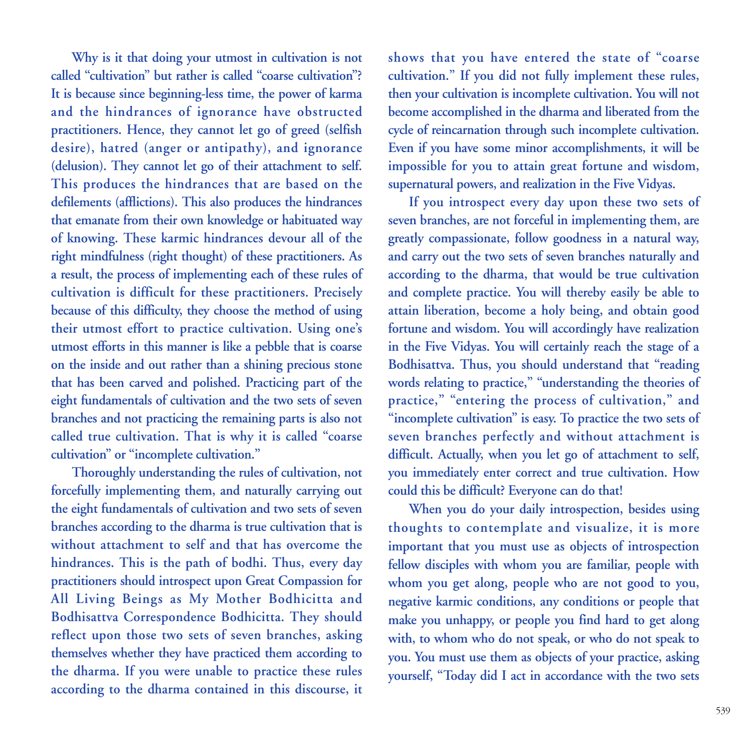**Why is it that doing your utmost in cultivation is not called "cultivation" but rather is called "coarse cultivation"? It is because since beginning-less time, the power of karma and the hindrances of ignorance have obstructed practitioners. Hence, they cannot let go of greed (selfish desire), hatred (anger or antipathy), and ignorance (delusion). They cannot let go of their attachment to self. This produces the hindrances that are based on the defilements (afflictions). This also produces the hindrances that emanate from their own knowledge or habituated way of knowing. These karmic hindrances devour all of the right mindfulness (right thought) of these practitioners. As a result, the process of implementing each of these rules of cultivation is difficult for these practitioners. Precisely because of this difficulty, they choose the method of using their utmost effort to practice cultivation. Using one's utmost efforts in this manner is like a pebble that is coarse on the inside and out rather than a shining precious stone that has been carved and polished. Practicing part of the eight fundamentals of cultivation and the two sets of seven branches and not practicing the remaining parts is also not called true cultivation. That is why it is called "coarse cultivation" or "incomplete cultivation."**

**Thoroughly understanding the rules of cultivation, not forcefully implementing them, and naturally carrying out the eight fundamentals of cultivation and two sets of seven branches according to the dharma is true cultivation that is without attachment to self and that has overcome the hindrances. This is the path of bodhi. Thus, every day practitioners should introspect upon Great Compassion for All Living Beings as My Mother Bodhicitta and Bodhisattva Correspondence Bodhicitta. They should reflect upon those two sets of seven branches, asking themselves whether they have practiced them according to the dharma. If you were unable to practice these rules according to the dharma contained in this discourse, it** **shows that you have entered the state of "coarse cultivation." If you did not fully implement these rules, then your cultivation is incomplete cultivation. You will not become accomplished in the dharma and liberated from the cycle of reincarnation through such incomplete cultivation. Even if you have some minor accomplishments, it will be impossible for you to attain great fortune and wisdom, supernatural powers, and realization in the Five Vidyas.**

**If you introspect every day upon these two sets of seven branches, are not forceful in implementing them, are greatly compassionate, follow goodness in a natural way, and carry out the two sets of seven branches naturally and according to the dharma, that would be true cultivation and complete practice. You will thereby easily be able to attain liberation, become a holy being, and obtain good fortune and wisdom. You will accordingly have realization in the Five Vidyas. You will certainly reach the stage of a Bodhisattva. Thus, you should understand that "reading words relating to practice," "understanding the theories of practice," "entering the process of cultivation," and "incomplete cultivation" is easy. To practice the two sets of seven branches perfectly and without attachment is difficult. Actually, when you let go of attachment to self, you immediately enter correct and true cultivation. How could this be difficult? Everyone can do that!**

**When you do your daily introspection, besides using thoughts to contemplate and visualize, it is more important that you must use as objects of introspection fellow disciples with whom you are familiar, people with whom you get along, people who are not good to you, negative karmic conditions, any conditions or people that make you unhappy, or people you find hard to get along with, to whom who do not speak, or who do not speak to you. You must use them as objects of your practice, asking yourself, "Today did I act in accordance with the two sets**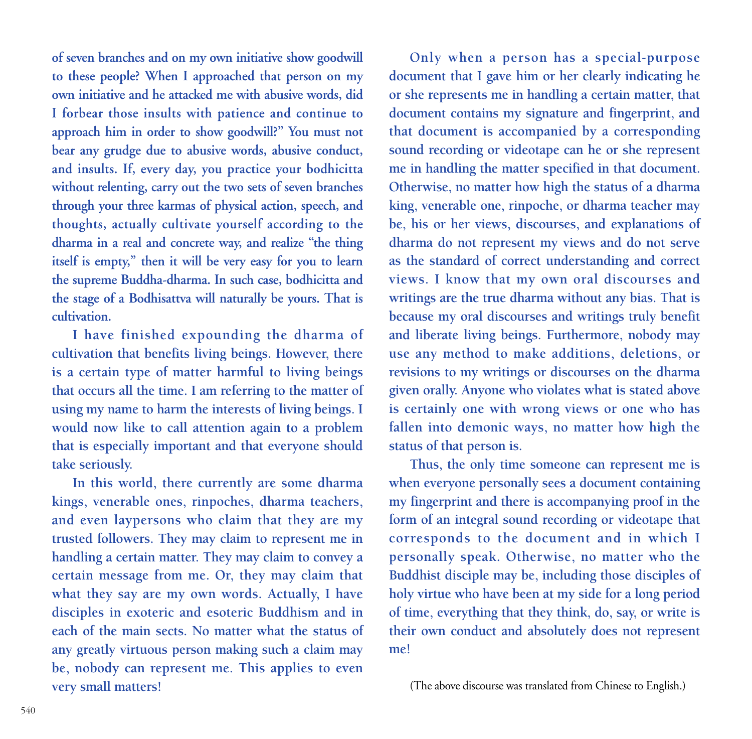**of seven branches and on my own initiative show goodwill to these people? When I approached that person on my own initiative and he attacked me with abusive words, did I forbear those insults with patience and continue to approach him in order to show goodwill?" You must not bear any grudge due to abusive words, abusive conduct, and insults. If, every day, you practice your bodhicitta without relenting, carry out the two sets of seven branches through your three karmas of physical action, speech, and thoughts, actually cultivate yourself according to the dharma in a real and concrete way, and realize "the thing itself is empty," then it will be very easy for you to learn the supreme Buddha-dharma. In such case, bodhicitta and the stage of a Bodhisattva will naturally be yours. That is cultivation.**

**I have finished expounding the dharma of cultivation that benefits living beings. However, there is a certain type of matter harmful to living beings that occurs all the time. I am referring to the matter of using my name to harm the interests of living beings. I would now like to call attention again to a problem that is especially important and that everyone should take seriously.**

**In this world, there currently are some dharma kings, venerable ones, rinpoches, dharma teachers, and even laypersons who claim that they are my trusted followers. They may claim to represent me in handling a certain matter. They may claim to convey a certain message from me. Or, they may claim that what they say are my own words. Actually, I have disciples in exoteric and esoteric Buddhism and in each of the main sects. No matter what the status of any greatly virtuous person making such a claim may be, nobody can represent me. This applies to even very small matters!** 

**Only when a person has a special-purpose document that I gave him or her clearly indicating he or she represents me in handling a certain matter, that document contains my signature and fingerprint, and that document is accompanied by a corresponding sound recording or videotape can he or she represent me in handling the matter specified in that document. Otherwise, no matter how high the status of a dharma king, venerable one, rinpoche, or dharma teacher may be, his or her views, discourses, and explanations of dharma do not represent my views and do not serve as the standard of correct understanding and correct views. I know that my own oral discourses and writings are the true dharma without any bias. That is because my oral discourses and writings truly benefit and liberate living beings. Furthermore, nobody may use any method to make additions, deletions, or revisions to my writings or discourses on the dharma given orally. Anyone who violates what is stated above is certainly one with wrong views or one who has fallen into demonic ways, no matter how high the status of that person is.**

**Thus, the only time someone can represent me is when everyone personally sees a document containing my fingerprint and there is accompanying proof in the form of an integral sound recording or videotape that corresponds to the document and in which I personally speak. Otherwise, no matter who the Buddhist disciple may be, including those disciples of holy virtue who have been at my side for a long period of time, everything that they think, do, say, or write is their own conduct and absolutely does not represent me!**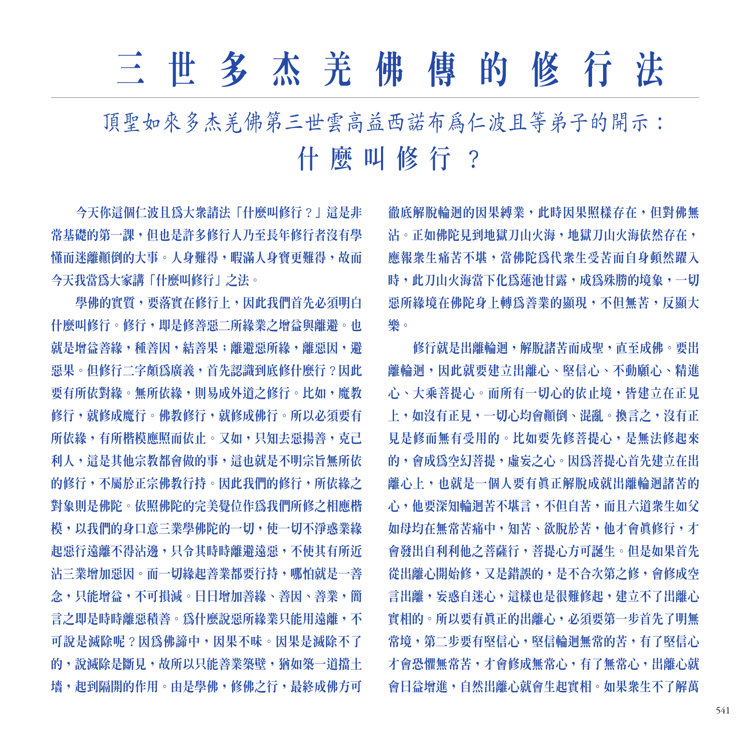## 三世多杰羌佛傳的修行法

頂聖如來多杰羌佛第三世雲高益西諾布為仁波且等弟子的開示: 什麼叫修行?

今天你這個仁波且爲大衆請法「什麼叫修行?」這是非 常基礎的第一課,但也是許多修行人乃至長年修行者沒有學 懂而迷離顚倒的大事。人身難得,暇滿人身寶更難得,故而 今天我當爲大家講「什麼叫修行」之法。

學佛的實質,要落實在修行上,因此我們首先必須明白 什麼叫修行。修行,即是修善惡二所緣業之增益與離避。也 就是增益善緣,種善因,結善果;離避惡所緣,離惡因,避 惡果。但修行二字頗爲廣義, 首先認識到底修什麼行?因此 要有所依對緣。無所依緣,則易成外道之修行。比如,魔教 修行,就修成佛行。所以必須要有 所依緣,有所楷模應照而依止。又如,只知去惡揚善,克己 和人,這是其他宗教都會做的事,這也就是不明宗旨無所依 的修行,不屬於正宗佛教行持。因此我們的修行,所依綠之 對象則是佛陀。依照佛陀的完美覺位作爲我們所修之相應楷 模,以我們的身口意三業學佛陀的一切,使一切不淨惑業緣 起惡行遠離不得沾邊,只令其時時離避遠惡,不使其有所近 沾三業增加惡因。而一切緣起善業都要行持,哪怕就是一善 念,只能增益,不可損減。日日增加善緣、善因、善業,簡 言之即是時時離惡積善。爲什麼說惡所緣業只能用遠離,不 可說是滅除呢?因為佛諦中,因果不昧。因果是滅除不了 的,說滅除是斷見,故所以只能善業築壁,猶如築一道擋十 墙, 起到隔開的作用。由是學佛, 修佛之行, 最終成佛方可

徹底解脫輪迴的因果縛業,此時因果照樣存在,但對佛無 沾。正如佛陀見到地獄刀山火海,地獄刀山火海依然存在, 應報衆生痛苦不堪,當佛陀為代衆生受苦而自身頓然躍入 時,此刀山火海當下化爲蓮池甘露,成爲殊勝的境象,一切 惡所緣境在佛陀身上轉爲善業的顯現,不但無苦,反顯大 樂。

修行就是出離輪迴,解脫諸苦而成聖,直至成佛。要出 離輪迴,因此就要建立出離心、堅信心、不動願心、精進 心、大乘菩提心。而所有一切心的依止境,皆建立在正見 上,如沒有正見,一切心均會顚倒、混亂。換言之,沒有正 見是修而無有受用的。比如要先修菩提心,是無法修起來 的,會成為空幻菩提,虛妄之心。因為菩提心首先建立在出 離心上,也就是一個人要有真正解脫成就出離輪迴諸苦的 心,他要深知輪迴苦不堪言,不但自苦,而且六道衆生如父 如母均在無常苦痛中,知苦、欲脫於苦,他才會眞修行,才 會發出自利利他之菩薩行,菩提心方可誕生。但是如果首先 從出離心開始修,又是錯誤的,是不合次第之修,會修成空 言出離,妄惑自迷心,這樣也是很難修起,建立不了出離心 實相的。所以要有真正的出離心, 必須要第一步首先了明無 常境,第二步要有堅信心,堅信輪迴無常的苦,有了堅信心 才會恐懼無常苦,才會修成無常心,有了無常心,出離心就 會日益增進,自然出離心就會生起實相。如果衆生不了解萬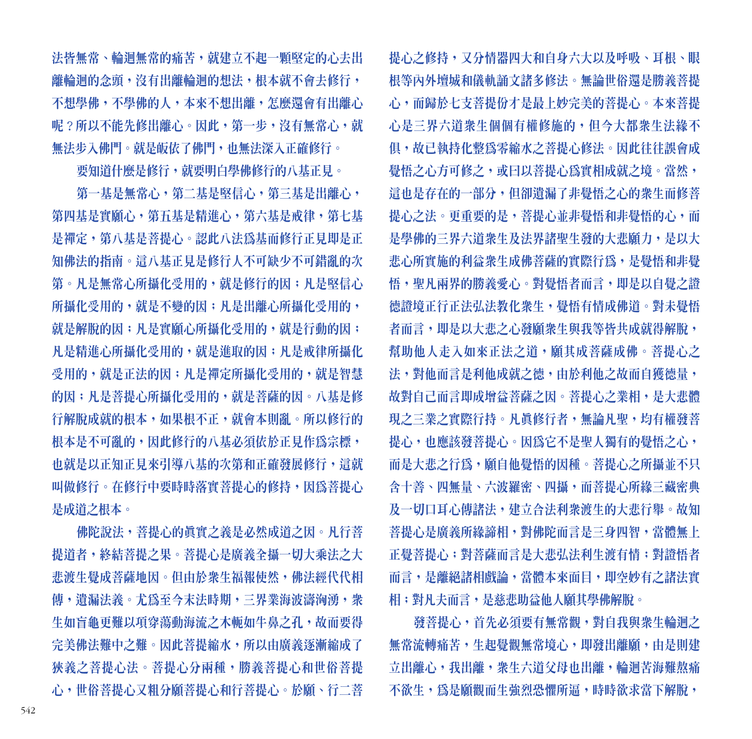法皆無常、輪迴無常的痛苦,就建立不起一顆堅定的心去出 離輪迴的念頭,沒有出離輪迴的想法,根本就不會去修行, 不想學佛,不學佛的人,本來不想出離,怎麼還會有出離心 呢?所以不能先修出離心。因此,第一步,沒有無常心,就 無法步入佛門。就是皈依了佛門,也無法深入正確修行。

要知道什麼是修行,就要明白學佛修行的八基正見。

第一基是無常心,第二基是堅信心,第三基是出離心, 第四基是實願心,第五基是精進心,第六基是戒律,第七基 是禪定,第八基是菩提心。認此八法爲基而修行正見即是正 知佛法的指南。這八基正見是修行人不可缺少不可錯亂的次 第。凡是無常心所攝化受用的,就是修行的因;凡是堅信心 所攝化受用的,就是不變的因;凡是出離心所攝化受用的, 就是解脫的因;凡是實願心所攝化受用的,就是行動的因; 凡是精進心所攝化受用的, 就是進取的因; 凡是戒律所攝化 受用的,就是正法的因;凡是襌定所攝化受用的,就是智慧 的因;凡是菩提心所攝化受用的,就是菩薩的因。八基是修 行解脫成就的根本,如果根不正,就會本則亂。所以修行的 根本是不可亂的,因此修行的八基必須依於正見作為宗標, 也就是以正知正見來引導八基的次第和正確發展修行,這就 叫做修行。在修行中要時時落實菩提心的修持,因爲菩提心 是成道之根本。

佛陀說法,菩提心的眞實之義是必然成道之因。凡行菩 提道者,終結菩提之果。菩提心是廣義全攝一切大乘法之大 悲渡生覺成菩薩地因。但由於衆生福報使然,佛法經代代相 傳,遺漏法義。尤爲至今末法時期,三界業海波濤洶湧,衆 生如盲龜更難以項穿蕩動海流之木軛如牛鼻之孔,故而要得 完美佛法難中之難。因此菩提縮水,所以由廣義逐漸縮成了 狹義之菩提心法。菩提心分兩種,勝義菩提心和世俗菩提 心,世俗菩提心又粗分願菩提心和行菩提心。於願、行二菩

提心之修持,又分情器四大和自身六大以及呼吸、耳根、眼 根等內外壇城和儀軌誦文諸多修法。無論世俗還是勝義菩提 心,而歸於七支菩提份才是最上妙完美的菩提心。本來菩提 心是三界六道衆生個個有權修施的,但今大都衆生法緣不 俱,故已執持化整爲零縮水之菩提心修法。因此往往誤會成 覺悟之心方可修之,或曰以菩提心爲實相成就之境。當然, 這也是存在的一部分,但卻遺漏了非覺悟之心的衆生而修菩 提心之法。更重要的是, 菩提心並非覺悟和非覺悟的心, 而 是學佛的三界六道衆生及法界諸聖生發的大悲願力,是以大 悲心所實施的利益衆生成佛菩薩的實際行為,是覺悟和非覺 悟,聖凡兩界的勝義愛心。對覺悟者而言,即是以自覺之證 德證境正行正法弘法教化衆生,覺悟有情成佛道。對未覺悟 者而言,即是以大悲之心發顧衆生與我等皆共成就得解脫, 幫助他人走入如來正法之道,願其成菩薩成佛。菩提心之 法,對他而言是利他成就之德,由於利他之故而自獲德量, 故對自己而言即成增益菩薩之因。菩提心之業相,是大悲體 現之三業之實際行持。凡真修行者,無論凡聖,均有權發菩 提心,也應該發菩提心。因爲它不是聖人獨有的覺悟之心, 而是大悲之行爲,願自他覺悟的因種。菩提心之所攝並不只 含十善、四無量、六波羅密、四攝,而菩提心所緣三藏密典 及一切口耳心傳諸法,建立合法利衆渡生的大悲行舉。故知 菩提心是廣義所緣諦相,對佛陀而言是三身四智,當體無上 正覺菩提心;對菩薩而言是大悲弘法利生渡有情;對證悟者 而言,是離絕諸相戲論,當體本來面目,即空妙有之諸法實 相;對凡夫而言,是慈悲助益他人願其學佛解脫。

發菩提心,首先必須要有無常觀,對自我與衆生輪迴之 無常流轉痛苦,生起覺觀無常境心,即發出離顧,由是則建 立出離心,我出離,衆生六道父母也出離,輪迴苦海難熬痛 不欲生,為是願觀而生強烈恐懼所逼,時時欲求當下解脫,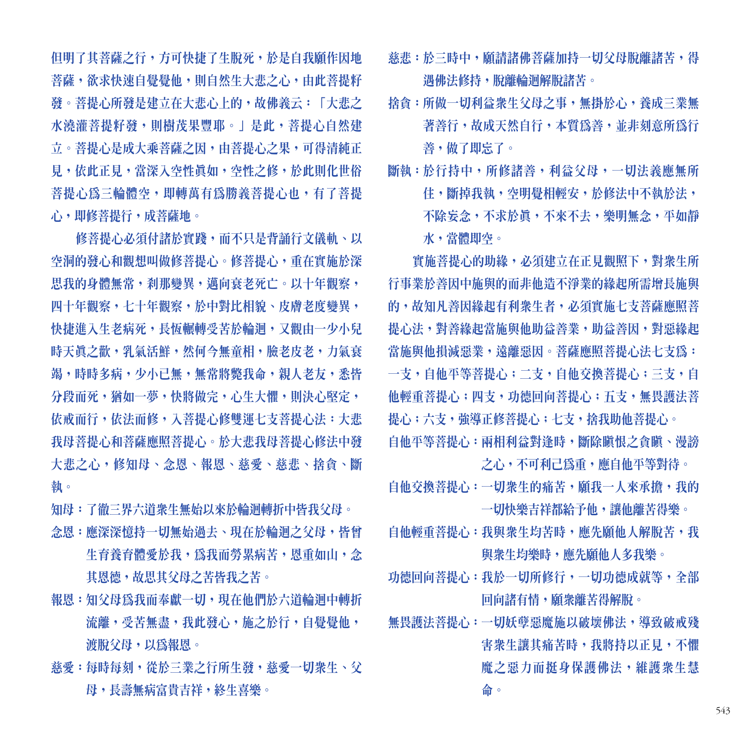佃明了其菩薩之行,方可快捷了生脫死,於是自我願作因地 菩薩,欲求快速自覺覺他,則自然生大悲之心,由此菩提籽 發。菩提心所發是建立在大悲心上的,故佛義云:「大悲之 水澆灌菩提籽發,則樹茂果豐耶。」是此,菩提心自然建 立。菩提心是成大乘菩薩之因,由菩提心之果,可得清純正 見,依此正見,當深入空性眞如,空性之修,於此則化世俗 菩提心為三輪體空,即轉萬有爲勝義菩提心也,有了菩提 心,即修菩提行,成菩薩地。

修菩提心必須付諸於實踐,而不只是背誦行文儀軌、以 空洞的發心和觀想叫做修菩提心。修菩提心,重在實施於深 思我的身體無常,刹那變異,邁向衰老死亡。以十年觀察, 四十年觀察,七十年觀察,於中對比相貌、皮膚老度變異, 快捷進入生老病死,長怲輾轉受苦於輪迴,又觀由一少小兒 時天真之歡,乳氣活鮮,然何今無童相,臉老皮老,力氣衰 竭,時時多病,少小已無,無常將斃我命,親人老友,悉皆 分段而死,猶如一夢,快將做完,心生大懼,則決心堅定, 依戒而行,依法而修,入菩提心修雙運七支菩提心法:大悲 我母菩提心和菩薩應照菩提心。於大悲我母菩提心修法中發 大悲之心,修知母、念恩、報恩、慈愛、慈悲、捨貪、斷 執。

知母:了徹三界六道衆生無始以來於輪迴轉折中皆我父母。

- 念恩:應深深憶持一切無始過去、現在於輪迴之父母,皆曾 生育養育體愛於我,為我而勞累病苦,恩重如山,念 其恩德,故思其父母之苦皆我之苦。
- 報恩:知父母爲我而奉獻一切,現在他們於六道輪迴中轉折 流離,受苦無盡,我此發心,施之於行,自覺覺他, 渡脫父母,以爲報恩。
- 慈愛:每時每刻,從於三業之行所生發,慈愛一切衆生、父 母,長壽無病富貴吉祥,終生喜樂。

蒸悲:於三時中,顧請諸佛菩薩加持一切父母脫離諸苦,得 遇佛法修持,脫離輪迴解脫諸苦。

捨會:所做一切利益衆生父母之事,無掛於心,養成三業無 著善行,故成天然自行,本質爲善,並非刻意所爲行 善善,做了即忘了。

斷執:於行持中,所修諸善,利益父母,一切法義應無所 住,斷掉我執,空明覺相輕安,於修法中不執於法, 不除妄念,不求於眞,不來不去,樂明無念,平如靜 水,當體即空。

實施菩提心的助緣, 必須建立在正見觀照下, 對衆生所 行事業於善因中施與的而非他造不淨業的緣起所需增長施與 的,故知凡善因緣起有利衆生者,必須實施七支菩薩應照菩 提心法, 對善綠起當施與他助益善業, 助益善因, 對惡綠起 當施與他損減惡業,遠離惡因。菩薩應照菩提心法七支爲: 一支,自他平等菩提心;二支,自他交換菩提心;三支,自 他輕重菩提心;四支,功德回向菩提心;五支,無畏護法菩 提心;六支,強導正修菩提心;七支,捨我助他菩提心。 自他平等菩提心:兩相利益對逢時,斷除瞋恨之貪瞋、漫謗 之心,不可利己爲重,應自他平等對待。

- 自他交換菩提心:一切衆生的痛苦,願我一人來承擔,我的 一切快樂吉祥都給予他,讓他離苦得樂。
- 自他輕重菩提心:我與衆生均苦時,應先願他人解脫苦,我 與衆生均樂時,應先願他人多我樂。
- 功德回向菩提心:我於一切所修行,一切功德成就等,全部 回向諸有情,願衆離苦得解脫。
- 無畏護法菩提心:一切妖孽惡魔施以破壞佛法,導致破戒殘 害衆生讓其痛苦時,我將持以正見,不懼 魔之惡力而挺身保護佛法,維護衆生慧 命。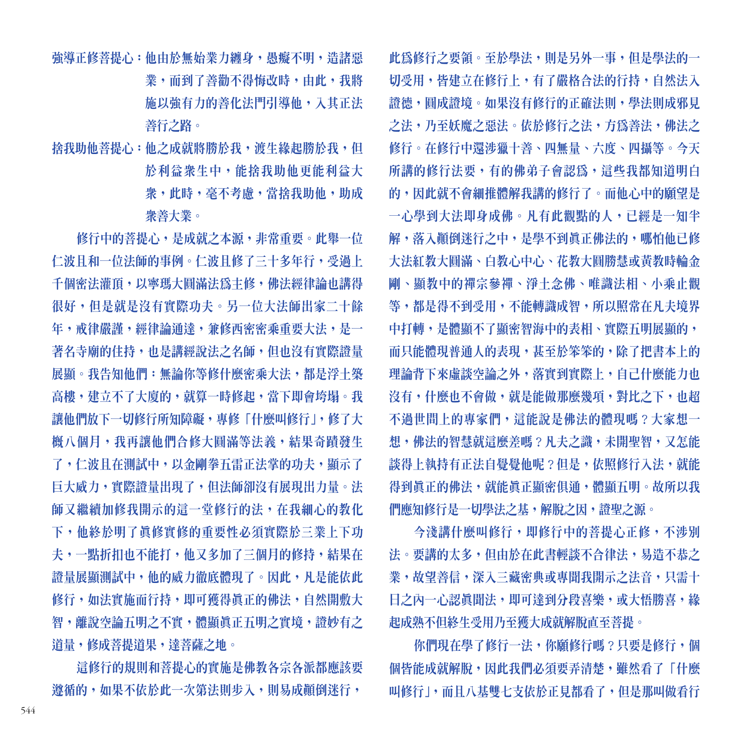強導正修菩提心:他由於無始業力纏身,愚癡不明,造諸惡 業,而到了善勸不得悔改時,由此,我將 施以強有力的善化法門引導他,入其正法 善行之路。

捨我助他菩提心:他之成就將勝於我,渡生緣起勝於我,但 於利益衆生中,能捨我助他更能利益大 衆,此時,毫不考慮,當捨我助他,助成 衆善大業。

修行中的菩提心,是成就之本源,非常重要。此舉一位 仁波且和一位法師的事例。仁波且修了三十多年行,受過上 千個密法灌頂,以寧瑪大圓滿法爲主修,佛法經律論也講得 很好,但是就是沒有實際功夫。另一位大法師出家二十餘 年,戒律嚴謹,經律論通達,兼修西密密乘重要大法,是一 著名寺廟的住持,也是講經說法之名師,但也沒有實際證量 展顯。我告知他們:無論你等修什麼密乘大法,都是浮土築 高樓,建立不了大廈的,就算一時修起,當下即會垮塌。我 讓他們放下一切修行所知障礙,專修「什麼叫修行」,修了大 概八個月,我再讓他們合修大圓滿等法義,結果奇蹟發生 了,仁波且在測試中,以金剛拳五雷正法掌的功夫,顯示了 巨大威力,實際證量出現了,但法師卻沒有展現出力量。法 師又繼續加修我開示的這一堂修行的法,在我細心的教化 下,他終於明了真修實修的重要性必須實際於三業上下功 夫,一點折扣也不能打,他又多加了三個月的修持,結果在 證量展顯測試中,他的威力徹底體現了。因此,凡是能依此 修行,如法實施而行持,即可獲得眞正的佛法,自然開敷大 智,離說空論五明之不實,體顯眞正五明之實境,證妙有之 道量,修成菩提道果,達菩薩之地。

這修行的規則和菩提心的實施是佛教各宗各派都應該要 遵循的,如果不依於此一次第法則步入,則易成顚倒迷行,

此爲修行之要領。至於學法,則是另外一事,但是學法的一 切受用,皆建立在修行上,有了嚴格合法的行持,自然法入 證德,圓成證境。如果沒有修行的正確法則,學法則成邪見 之法,乃至妖魔之惡法。依於修行之法,方爲善法,佛法之 修行。在修行中還涉獵十善、四無量、六度、四攝等。今天 所講的修行法要,有的佛弟子會認爲,這些我都知道明白 的,因此就不會細推體解我講的修行了。而他心中的願望是 一心學到大法即身成佛。凡有此觀點的人,已經是一知半 解,落入顚倒迷行之中,是學不到真正佛法的,哪怕他已修 大法紅教大圓滿、白教心中心、花教大圓勝慧或黃教時輪金 剛、顯教中的禪宗參禪、淨土念佛、唯識法相、小乘止觀 等,都是得不到受用,不能轉識成智,所以照常在凡夫境界 中打轉,是體顯不了顯密智海中的表相、實際五明展顯的, 而只能體現普通人的表現,甚至於笨笨的,除了把書本上的 理論背下來虛談空論之外,落實到實際上,自己什麼能力也 沒有,什麼也不會做,就是能做那麼幾項,對比之下,也超 不過世間上的專家們,這能說是佛法的體現嗎?大家想一 想,佛法的智慧就這麼差嗎?凡夫之識,未開聖智,又怎能 談得上執持有正法自覺譽他呢?但是,依照修行入法,就能 得到真正的佛法,就能真正顯密俱通,體顯五明。故所以我 們應知修行是一切學法之基,解脫之因,證聖之源。

今淺講什麼叫修行,即修行中的菩提心正修,不涉別 法。要講的太多,但由於在此書輕談不合律法,易造不恭之 業,故望善信,深入三藏密典或專聞我開示之法音,只需十 日之內一心認眞聞法,即可達到分段喜樂,或大悟勝喜,緣 起成熟不但終生受用乃至獲大成就解脫直至菩提。

你們現在學了修行一法,你顧修行嗎?只要是修行,個 個皆能成就解脫,因此我們必須要弄清楚,雖然看了「什麼 叫修行」,而且八基雙七支依於正見都看了,但是那叫做看行